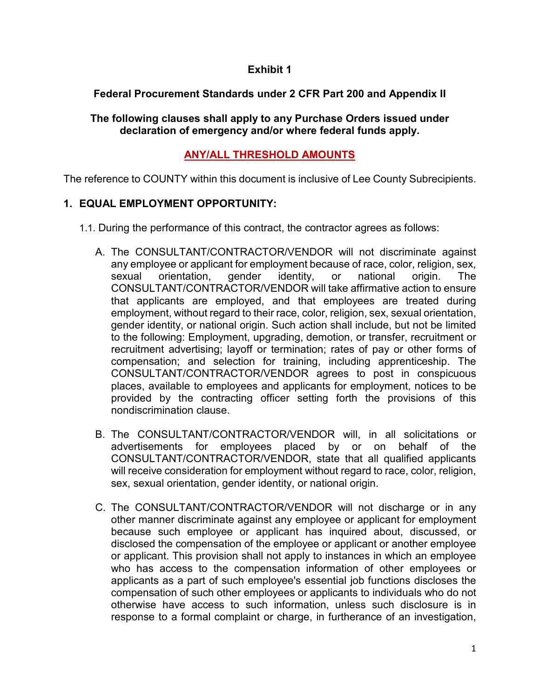#### **Exhibit 1**

## **Federal Procurement Standards under 2 CFR Part 200 and Appendix II**

#### **The following clauses shall apply to any Purchase Orders issued under declaration of emergency and/or where federal funds apply.**

## **ANY/ALL THRESHOLD AMOUNTS**

The reference to COUNTY within this document is inclusive of Lee County Subrecipients.

#### **1. EQUAL EMPLOYMENT OPPORTUNITY:**

- 1.1. During the performance of this contract, the contractor agrees as follows:
	- A. The CONSULTANT/CONTRACTOR/VENDOR will not discriminate against any employee or applicant for employment because of race, color, religion, sex, sexual orientation, gender identity, or national origin. The CONSULTANT/CONTRACTOR/VENDOR will take affirmative action to ensure that applicants are employed, and that employees are treated during employment, without regard to their race, color, religion, sex, sexual orientation, gender identity, or national origin. Such action shall include, but not be limited to the following: Employment, upgrading, demotion, or transfer, recruitment or recruitment advertising; layoff or termination; rates of pay or other forms of compensation; and selection for training, including apprenticeship. The CONSULTANT/CONTRACTOR/VENDOR agrees to post in conspicuous places, available to employees and applicants for employment, notices to be provided by the contracting officer setting forth the provisions of this nondiscrimination clause.
	- B. The CONSULTANT/CONTRACTOR/VENDOR will, in all solicitations or advertisements for employees placed by or on behalf of the CONSULTANT/CONTRACTOR/VENDOR, state that all qualified applicants will receive consideration for employment without regard to race, color, religion, sex, sexual orientation, gender identity, or national origin.
	- C. The CONSULTANT/CONTRACTOR/VENDOR will not discharge or in any other manner discriminate against any employee or applicant for employment because such employee or applicant has inquired about, discussed, or disclosed the compensation of the employee or applicant or another employee or applicant. This provision shall not apply to instances in which an employee who has access to the compensation information of other employees or applicants as a part of such employee's essential job functions discloses the compensation of such other employees or applicants to individuals who do not otherwise have access to such information, unless such disclosure is in response to a formal complaint or charge, in furtherance of an investigation,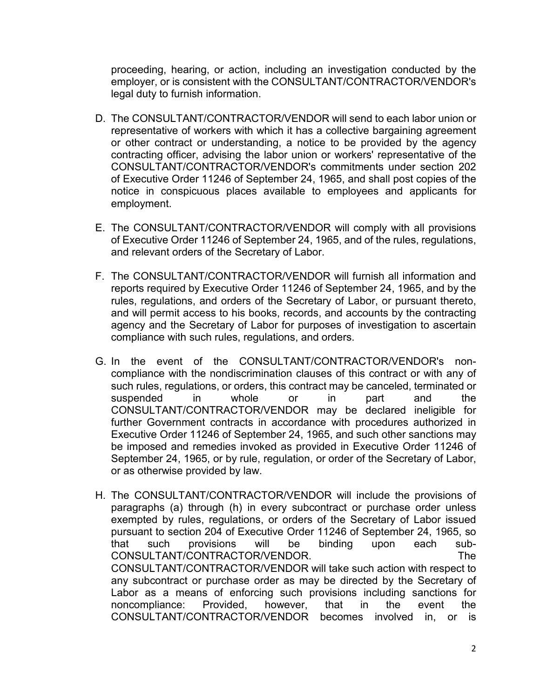proceeding, hearing, or action, including an investigation conducted by the employer, or is consistent with the CONSULTANT/CONTRACTOR/VENDOR's legal duty to furnish information.

- D. The CONSULTANT/CONTRACTOR/VENDOR will send to each labor union or representative of workers with which it has a collective bargaining agreement or other contract or understanding, a notice to be provided by the agency contracting officer, advising the labor union or workers' representative of the CONSULTANT/CONTRACTOR/VENDOR's commitments under section 202 of Executive Order 11246 of September 24, 1965, and shall post copies of the notice in conspicuous places available to employees and applicants for employment.
- E. The CONSULTANT/CONTRACTOR/VENDOR will comply with all provisions of Executive Order 11246 of September 24, 1965, and of the rules, regulations, and relevant orders of the Secretary of Labor.
- F. The CONSULTANT/CONTRACTOR/VENDOR will furnish all information and reports required by Executive Order 11246 of September 24, 1965, and by the rules, regulations, and orders of the Secretary of Labor, or pursuant thereto, and will permit access to his books, records, and accounts by the contracting agency and the Secretary of Labor for purposes of investigation to ascertain compliance with such rules, regulations, and orders.
- G. In the event of the CONSULTANT/CONTRACTOR/VENDOR's noncompliance with the nondiscrimination clauses of this contract or with any of such rules, regulations, or orders, this contract may be canceled, terminated or suspended in whole or in part and the CONSULTANT/CONTRACTOR/VENDOR may be declared ineligible for further Government contracts in accordance with procedures authorized in Executive Order 11246 of September 24, 1965, and such other sanctions may be imposed and remedies invoked as provided in Executive Order 11246 of September 24, 1965, or by rule, regulation, or order of the Secretary of Labor, or as otherwise provided by law.
- H. The CONSULTANT/CONTRACTOR/VENDOR will include the provisions of paragraphs (a) through (h) in every subcontract or purchase order unless exempted by rules, regulations, or orders of the Secretary of Labor issued pursuant to section 204 of Executive Order 11246 of September 24, 1965, so that such provisions will be binding upon each sub-CONSULTANT/CONTRACTOR/VENDOR. The CONSULTANT/CONTRACTOR/VENDOR will take such action with respect to any subcontract or purchase order as may be directed by the Secretary of Labor as a means of enforcing such provisions including sanctions for noncompliance: Provided, however, that in the event the CONSULTANT/CONTRACTOR/VENDOR becomes involved in, or is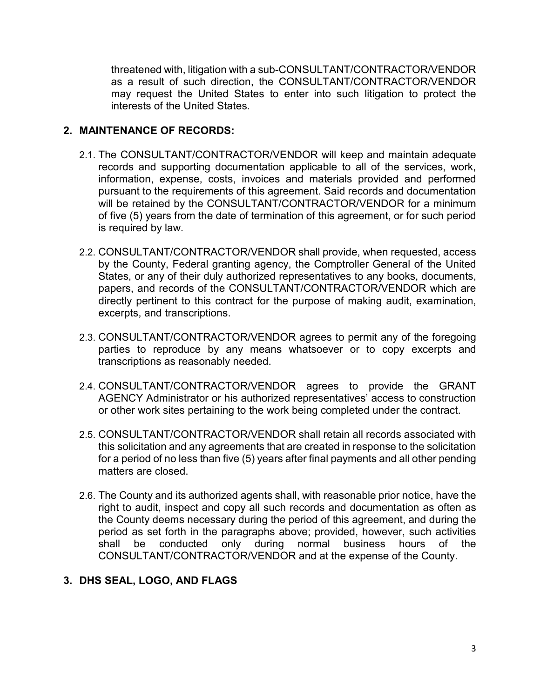threatened with, litigation with a sub-CONSULTANT/CONTRACTOR/VENDOR as a result of such direction, the CONSULTANT/CONTRACTOR/VENDOR may request the United States to enter into such litigation to protect the interests of the United States.

### **2. MAINTENANCE OF RECORDS:**

- 2.1. The CONSULTANT/CONTRACTOR/VENDOR will keep and maintain adequate records and supporting documentation applicable to all of the services, work, information, expense, costs, invoices and materials provided and performed pursuant to the requirements of this agreement. Said records and documentation will be retained by the CONSULTANT/CONTRACTOR/VENDOR for a minimum of five (5) years from the date of termination of this agreement, or for such period is required by law.
- 2.2. CONSULTANT/CONTRACTOR/VENDOR shall provide, when requested, access by the County, Federal granting agency, the Comptroller General of the United States, or any of their duly authorized representatives to any books, documents, papers, and records of the CONSULTANT/CONTRACTOR/VENDOR which are directly pertinent to this contract for the purpose of making audit, examination, excerpts, and transcriptions.
- 2.3. CONSULTANT/CONTRACTOR/VENDOR agrees to permit any of the foregoing parties to reproduce by any means whatsoever or to copy excerpts and transcriptions as reasonably needed.
- 2.4. CONSULTANT/CONTRACTOR/VENDOR agrees to provide the GRANT AGENCY Administrator or his authorized representatives' access to construction or other work sites pertaining to the work being completed under the contract.
- 2.5. CONSULTANT/CONTRACTOR/VENDOR shall retain all records associated with this solicitation and any agreements that are created in response to the solicitation for a period of no less than five (5) years after final payments and all other pending matters are closed.
- 2.6. The County and its authorized agents shall, with reasonable prior notice, have the right to audit, inspect and copy all such records and documentation as often as the County deems necessary during the period of this agreement, and during the period as set forth in the paragraphs above; provided, however, such activities<br>shall be conducted only during normal business hours of the shall be conducted only during normal business hours of the CONSULTANT/CONTRACTOR/VENDOR and at the expense of the County.

# **3. DHS SEAL, LOGO, AND FLAGS**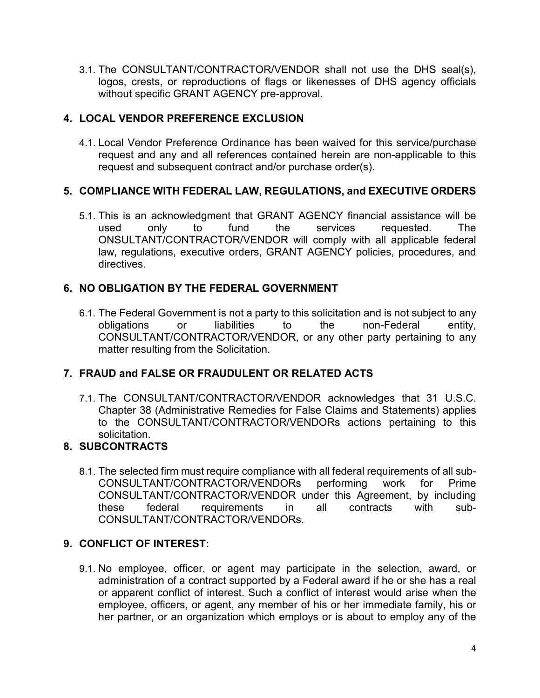3.1. The CONSULTANT/CONTRACTOR/VENDOR shall not use the DHS seal(s), logos, crests, or reproductions of flags or likenesses of DHS agency officials without specific GRANT AGENCY pre-approval.

# **4. LOCAL VENDOR PREFERENCE EXCLUSION**

4.1. Local Vendor Preference Ordinance has been waived for this service/purchase request and any and all references contained herein are non-applicable to this request and subsequent contract and/or purchase order(s).

# **5. COMPLIANCE WITH FEDERAL LAW, REGULATIONS, and EXECUTIVE ORDERS**

5.1. This is an acknowledgment that GRANT AGENCY financial assistance will be used only to fund the services requested. The ONSULTANT/CONTRACTOR/VENDOR will comply with all applicable federal law, regulations, executive orders, GRANT AGENCY policies, procedures, and directives.

# **6. NO OBLIGATION BY THE FEDERAL GOVERNMENT**

6.1. The Federal Government is not a party to this solicitation and is not subject to any obligations or liabilities to the non-Federal entity, CONSULTANT/CONTRACTOR/VENDOR, or any other party pertaining to any matter resulting from the Solicitation.

# **7. FRAUD and FALSE OR FRAUDULENT OR RELATED ACTS**

7.1. The CONSULTANT/CONTRACTOR/VENDOR acknowledges that 31 U.S.C. Chapter 38 (Administrative Remedies for False Claims and Statements) applies to the CONSULTANT/CONTRACTOR/VENDORs actions pertaining to this solicitation.

# **8. SUBCONTRACTS**

8.1. The selected firm must require compliance with all federal requirements of all sub-CONSULTANT/CONTRACTOR/VENDORs performing work for Prime CONSULTANT/CONTRACTOR/VENDOR under this Agreement, by including these federal requirements in all contracts with sub-CONSULTANT/CONTRACTOR/VENDORs.

# **9. CONFLICT OF INTEREST:**

9.1. No employee, officer, or agent may participate in the selection, award, or administration of a contract supported by a Federal award if he or she has a real or apparent conflict of interest. Such a conflict of interest would arise when the employee, officers, or agent, any member of his or her immediate family, his or her partner, or an organization which employs or is about to employ any of the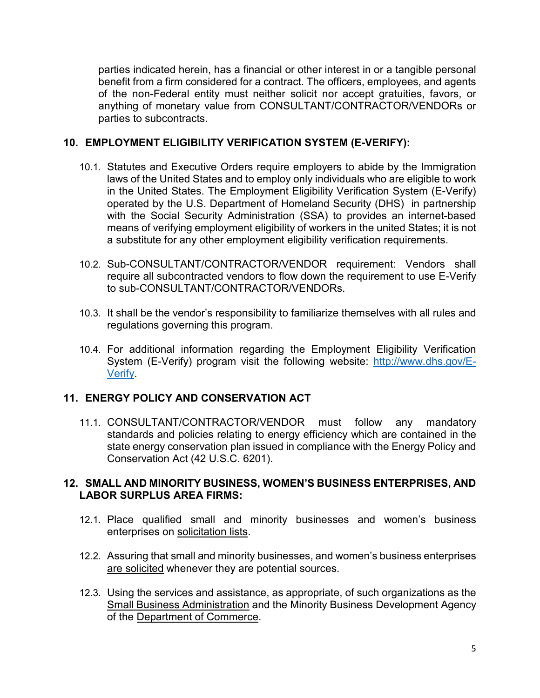parties indicated herein, has a financial or other interest in or a tangible personal benefit from a firm considered for a contract. The officers, employees, and agents of the non-Federal entity must neither solicit nor accept gratuities, favors, or anything of monetary value from CONSULTANT/CONTRACTOR/VENDORs or parties to subcontracts.

#### **10. EMPLOYMENT ELIGIBILITY VERIFICATION SYSTEM (E-VERIFY):**

- 10.1. Statutes and Executive Orders require employers to abide by the Immigration laws of the United States and to employ only individuals who are eligible to work in the United States. The Employment Eligibility Verification System (E-Verify) operated by the U.S. Department of Homeland Security (DHS) in partnership with the Social Security Administration (SSA) to provides an internet-based means of verifying employment eligibility of workers in the united States; it is not a substitute for any other employment eligibility verification requirements.
- 10.2. Sub-CONSULTANT/CONTRACTOR/VENDOR requirement: Vendors shall require all subcontracted vendors to flow down the requirement to use E-Verify to sub-CONSULTANT/CONTRACTOR/VENDORs.
- 10.3. It shall be the vendor's responsibility to familiarize themselves with all rules and regulations governing this program.
- 10.4. For additional information regarding the Employment Eligibility Verification System (E-Verify) program visit the following website: [http://www.dhs.gov/E-](http://www.dhs.gov/E-Verify)[Verify.](http://www.dhs.gov/E-Verify)

## **11. ENERGY POLICY AND CONSERVATION ACT**

11.1. CONSULTANT/CONTRACTOR/VENDOR must follow any mandatory standards and policies relating to energy efficiency which are contained in the state energy conservation plan issued in compliance with the Energy Policy and Conservation Act (42 U.S.C. 6201).

#### **12. SMALL AND MINORITY BUSINESS, WOMEN'S BUSINESS ENTERPRISES, AND LABOR SURPLUS AREA FIRMS:**

- 12.1. Place qualified small and minority businesses and women's business enterprises on solicitation lists.
- 12.2. Assuring that small and minority businesses, and women's business enterprises are solicited whenever they are potential sources.
- 12.3. Using the services and assistance, as appropriate, of such organizations as the Small Business Administration and the Minority Business Development Agency of the Department of Commerce.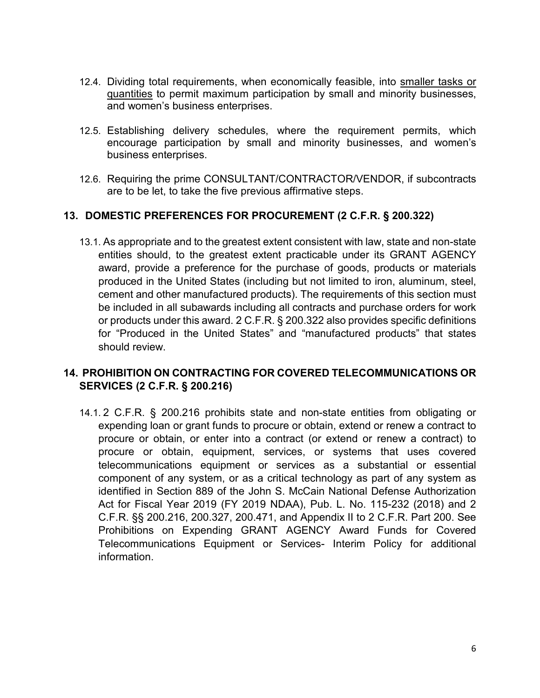- 12.4. Dividing total requirements, when economically feasible, into smaller tasks or quantities to permit maximum participation by small and minority businesses, and women's business enterprises.
- 12.5. Establishing delivery schedules, where the requirement permits, which encourage participation by small and minority businesses, and women's business enterprises.
- 12.6. Requiring the prime CONSULTANT/CONTRACTOR/VENDOR, if subcontracts are to be let, to take the five previous affirmative steps.

#### **13. DOMESTIC PREFERENCES FOR PROCUREMENT (2 C.F.R. § 200.322)**

13.1. As appropriate and to the greatest extent consistent with law, state and non-state entities should, to the greatest extent practicable under its GRANT AGENCY award, provide a preference for the purchase of goods, products or materials produced in the United States (including but not limited to iron, aluminum, steel, cement and other manufactured products). The requirements of this section must be included in all subawards including all contracts and purchase orders for work or products under this award. 2 C.F.R. § 200.322 also provides specific definitions for "Produced in the United States" and "manufactured products" that states should review.

## **14. PROHIBITION ON CONTRACTING FOR COVERED TELECOMMUNICATIONS OR SERVICES (2 C.F.R. § 200.216)**

14.1. 2 C.F.R. § 200.216 prohibits state and non-state entities from obligating or expending loan or grant funds to procure or obtain, extend or renew a contract to procure or obtain, or enter into a contract (or extend or renew a contract) to procure or obtain, equipment, services, or systems that uses covered telecommunications equipment or services as a substantial or essential component of any system, or as a critical technology as part of any system as identified in Section 889 of the John S. McCain National Defense Authorization Act for Fiscal Year 2019 (FY 2019 NDAA), Pub. L. No. 115-232 (2018) and 2 C.F.R. §§ 200.216, 200.327, 200.471, and Appendix II to 2 C.F.R. Part 200. See Prohibitions on Expending GRANT AGENCY Award Funds for Covered Telecommunications Equipment or Services- Interim Policy for additional information.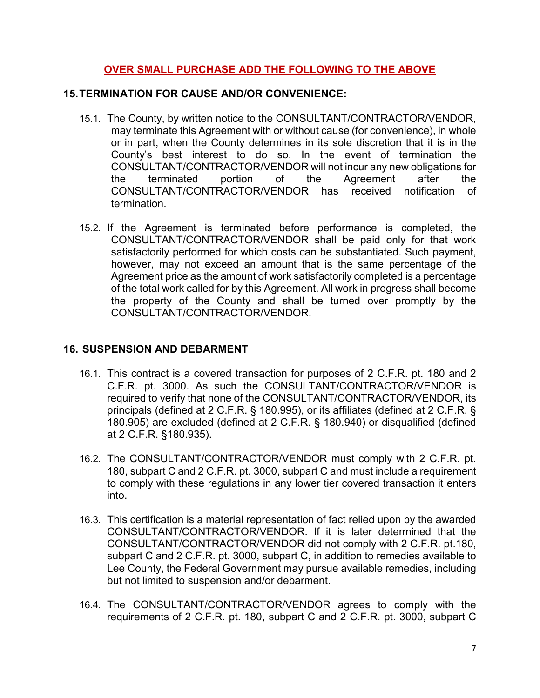## **OVER SMALL PURCHASE ADD THE FOLLOWING TO THE ABOVE**

#### **15.TERMINATION FOR CAUSE AND/OR CONVENIENCE:**

- 15.1. The County, by written notice to the CONSULTANT/CONTRACTOR/VENDOR, may terminate this Agreement with or without cause (for convenience), in whole or in part, when the County determines in its sole discretion that it is in the County's best interest to do so. In the event of termination the CONSULTANT/CONTRACTOR/VENDOR will not incur any new obligations for the terminated portion of the Agreement after the CONSULTANT/CONTRACTOR/VENDOR has received notification of termination.
- 15.2. If the Agreement is terminated before performance is completed, the CONSULTANT/CONTRACTOR/VENDOR shall be paid only for that work satisfactorily performed for which costs can be substantiated. Such payment, however, may not exceed an amount that is the same percentage of the Agreement price as the amount of work satisfactorily completed is a percentage of the total work called for by this Agreement. All work in progress shall become the property of the County and shall be turned over promptly by the CONSULTANT/CONTRACTOR/VENDOR.

## **16. SUSPENSION AND DEBARMENT**

- 16.1. This contract is a covered transaction for purposes of 2 C.F.R. pt. 180 and 2 C.F.R. pt. 3000. As such the CONSULTANT/CONTRACTOR/VENDOR is required to verify that none of the CONSULTANT/CONTRACTOR/VENDOR, its principals (defined at 2 C.F.R. § 180.995), or its affiliates (defined at 2 C.F.R. § 180.905) are excluded (defined at 2 C.F.R. § 180.940) or disqualified (defined at 2 C.F.R. §180.935).
- 16.2. The CONSULTANT/CONTRACTOR/VENDOR must comply with 2 C.F.R. pt. 180, subpart C and 2 C.F.R. pt. 3000, subpart C and must include a requirement to comply with these regulations in any lower tier covered transaction it enters into.
- 16.3. This certification is a material representation of fact relied upon by the awarded CONSULTANT/CONTRACTOR/VENDOR. If it is later determined that the CONSULTANT/CONTRACTOR/VENDOR did not comply with 2 C.F.R. pt.180, subpart C and 2 C.F.R. pt. 3000, subpart C, in addition to remedies available to Lee County, the Federal Government may pursue available remedies, including but not limited to suspension and/or debarment.
- 16.4. The CONSULTANT/CONTRACTOR/VENDOR agrees to comply with the requirements of 2 C.F.R. pt. 180, subpart C and 2 C.F.R. pt. 3000, subpart C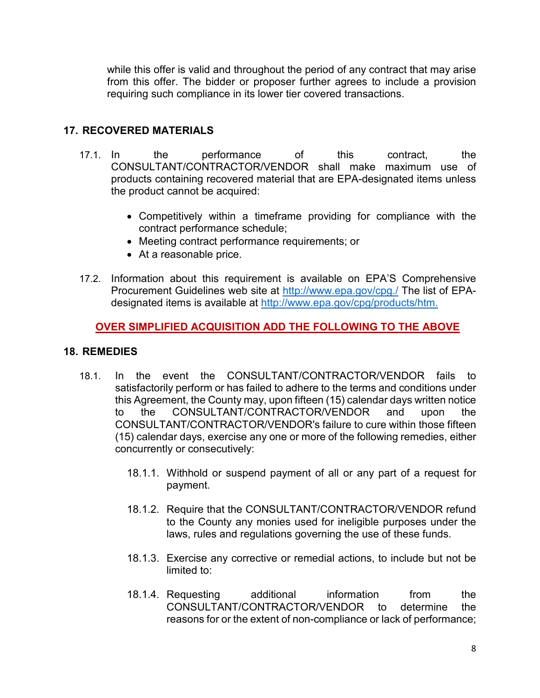while this offer is valid and throughout the period of any contract that may arise from this offer. The bidder or proposer further agrees to include a provision requiring such compliance in its lower tier covered transactions.

## **17. RECOVERED MATERIALS**

- 17.1. In the performance of this contract, the CONSULTANT/CONTRACTOR/VENDOR shall make maximum use of products containing recovered material that are EPA-designated items unless the product cannot be acquired:
	- Competitively within a timeframe providing for compliance with the contract performance schedule;
	- Meeting contract performance requirements; or
	- At a reasonable price.
- 17.2. Information about this requirement is available on EPA'S Comprehensive Procurement Guidelines web site at<http://www.epa.gov/cpg./> The list of EPAdesignated items is available at [http://www.epa.gov/cpg/products/htm.](http://www.epa.gov/cpg/products/htm)

## **OVER SIMPLIFIED ACQUISITION ADD THE FOLLOWING TO THE ABOVE**

#### **18. REMEDIES**

- 18.1. In the event the CONSULTANT/CONTRACTOR/VENDOR fails to satisfactorily perform or has failed to adhere to the terms and conditions under this Agreement, the County may, upon fifteen (15) calendar days written notice to the CONSULTANT/CONTRACTOR/VENDOR and upon the CONSULTANT/CONTRACTOR/VENDOR's failure to cure within those fifteen (15) calendar days, exercise any one or more of the following remedies, either concurrently or consecutively:
	- 18.1.1. Withhold or suspend payment of all or any part of a request for payment.
	- 18.1.2. Require that the CONSULTANT/CONTRACTOR/VENDOR refund to the County any monies used for ineligible purposes under the laws, rules and regulations governing the use of these funds.
	- 18.1.3. Exercise any corrective or remedial actions, to include but not be limited to:
	- 18.1.4. Requesting additional information from the CONSULTANT/CONTRACTOR/VENDOR to determine the reasons for or the extent of non-compliance or lack of performance;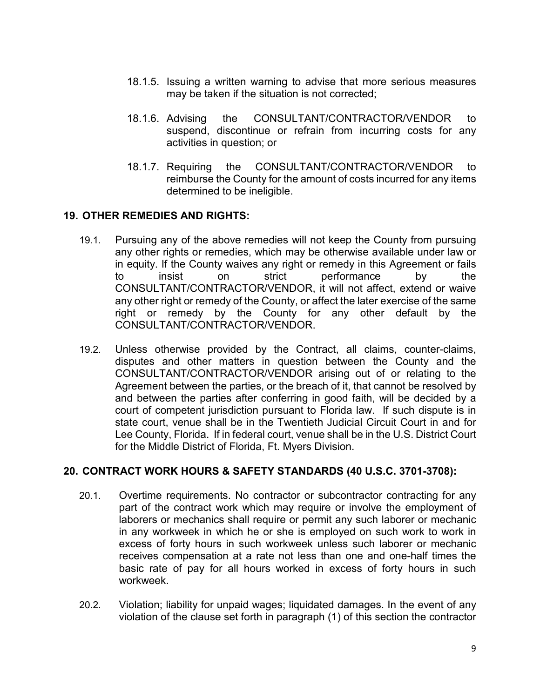- 18.1.5. Issuing a written warning to advise that more serious measures may be taken if the situation is not corrected;
- 18.1.6. Advising the CONSULTANT/CONTRACTOR/VENDOR to suspend, discontinue or refrain from incurring costs for any activities in question; or
- 18.1.7. Requiring the CONSULTANT/CONTRACTOR/VENDOR to reimburse the County for the amount of costs incurred for any items determined to be ineligible.

#### **19. OTHER REMEDIES AND RIGHTS:**

- 19.1. Pursuing any of the above remedies will not keep the County from pursuing any other rights or remedies, which may be otherwise available under law or in equity. If the County waives any right or remedy in this Agreement or fails to insist on strict performance by the CONSULTANT/CONTRACTOR/VENDOR, it will not affect, extend or waive any other right or remedy of the County, or affect the later exercise of the same right or remedy by the County for any other default by the CONSULTANT/CONTRACTOR/VENDOR.
- 19.2. Unless otherwise provided by the Contract, all claims, counter-claims, disputes and other matters in question between the County and the CONSULTANT/CONTRACTOR/VENDOR arising out of or relating to the Agreement between the parties, or the breach of it, that cannot be resolved by and between the parties after conferring in good faith, will be decided by a court of competent jurisdiction pursuant to Florida law. If such dispute is in state court, venue shall be in the Twentieth Judicial Circuit Court in and for Lee County, Florida. If in federal court, venue shall be in the U.S. District Court for the Middle District of Florida, Ft. Myers Division.

#### **20. CONTRACT WORK HOURS & SAFETY STANDARDS (40 U.S.C. 3701-3708):**

- 20.1. Overtime requirements. No contractor or subcontractor contracting for any part of the contract work which may require or involve the employment of laborers or mechanics shall require or permit any such laborer or mechanic in any workweek in which he or she is employed on such work to work in excess of forty hours in such workweek unless such laborer or mechanic receives compensation at a rate not less than one and one-half times the basic rate of pay for all hours worked in excess of forty hours in such workweek.
- 20.2. Violation; liability for unpaid wages; liquidated damages. In the event of any violation of the clause set forth in paragraph (1) of this section the contractor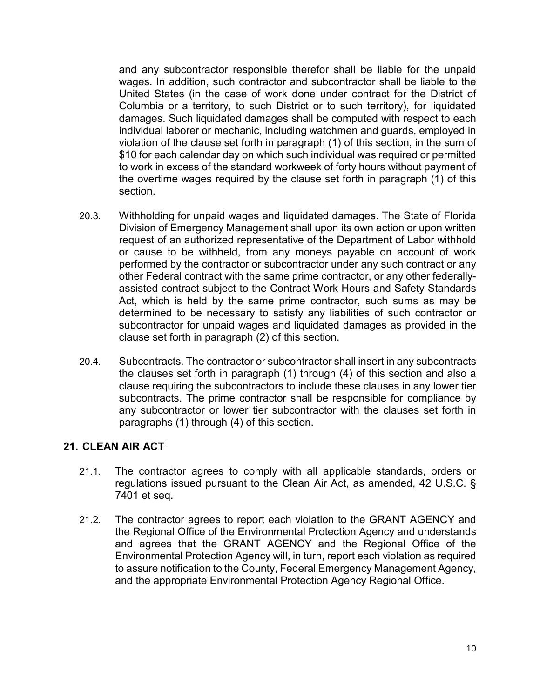and any subcontractor responsible therefor shall be liable for the unpaid wages. In addition, such contractor and subcontractor shall be liable to the United States (in the case of work done under contract for the District of Columbia or a territory, to such District or to such territory), for liquidated damages. Such liquidated damages shall be computed with respect to each individual laborer or mechanic, including watchmen and guards, employed in violation of the clause set forth in paragraph (1) of this section, in the sum of \$10 for each calendar day on which such individual was required or permitted to work in excess of the standard workweek of forty hours without payment of the overtime wages required by the clause set forth in paragraph (1) of this section.

- 20.3. Withholding for unpaid wages and liquidated damages. The State of Florida Division of Emergency Management shall upon its own action or upon written request of an authorized representative of the Department of Labor withhold or cause to be withheld, from any moneys payable on account of work performed by the contractor or subcontractor under any such contract or any other Federal contract with the same prime contractor, or any other federallyassisted contract subject to the Contract Work Hours and Safety Standards Act, which is held by the same prime contractor, such sums as may be determined to be necessary to satisfy any liabilities of such contractor or subcontractor for unpaid wages and liquidated damages as provided in the clause set forth in paragraph (2) of this section.
- 20.4. Subcontracts. The contractor or subcontractor shall insert in any subcontracts the clauses set forth in paragraph (1) through (4) of this section and also a clause requiring the subcontractors to include these clauses in any lower tier subcontracts. The prime contractor shall be responsible for compliance by any subcontractor or lower tier subcontractor with the clauses set forth in paragraphs (1) through (4) of this section.

#### **21. CLEAN AIR ACT**

- 21.1. The contractor agrees to comply with all applicable standards, orders or regulations issued pursuant to the Clean Air Act, as amended, 42 U.S.C. § 7401 et seq.
- 21.2. The contractor agrees to report each violation to the GRANT AGENCY and the Regional Office of the Environmental Protection Agency and understands and agrees that the GRANT AGENCY and the Regional Office of the Environmental Protection Agency will, in turn, report each violation as required to assure notification to the County, Federal Emergency Management Agency, and the appropriate Environmental Protection Agency Regional Office.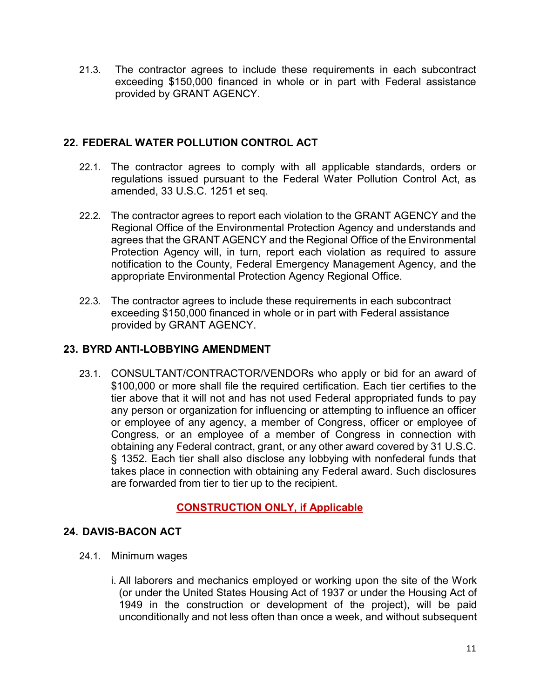21.3. The contractor agrees to include these requirements in each subcontract exceeding \$150,000 financed in whole or in part with Federal assistance provided by GRANT AGENCY.

## **22. FEDERAL WATER POLLUTION CONTROL ACT**

- 22.1. The contractor agrees to comply with all applicable standards, orders or regulations issued pursuant to the Federal Water Pollution Control Act, as amended, 33 U.S.C. 1251 et seq.
- 22.2. The contractor agrees to report each violation to the GRANT AGENCY and the Regional Office of the Environmental Protection Agency and understands and agrees that the GRANT AGENCY and the Regional Office of the Environmental Protection Agency will, in turn, report each violation as required to assure notification to the County, Federal Emergency Management Agency, and the appropriate Environmental Protection Agency Regional Office.
- 22.3. The contractor agrees to include these requirements in each subcontract exceeding \$150,000 financed in whole or in part with Federal assistance provided by GRANT AGENCY.

## **23. BYRD ANTI-LOBBYING AMENDMENT**

23.1. CONSULTANT/CONTRACTOR/VENDORs who apply or bid for an award of \$100,000 or more shall file the required certification. Each tier certifies to the tier above that it will not and has not used Federal appropriated funds to pay any person or organization for influencing or attempting to influence an officer or employee of any agency, a member of Congress, officer or employee of Congress, or an employee of a member of Congress in connection with obtaining any Federal contract, grant, or any other award covered by 31 U.S.C. § 1352. Each tier shall also disclose any lobbying with nonfederal funds that takes place in connection with obtaining any Federal award. Such disclosures are forwarded from tier to tier up to the recipient.

## **CONSTRUCTION ONLY, if Applicable**

## **24. DAVIS-BACON ACT**

- 24.1. Minimum wages
	- i. All laborers and mechanics employed or working upon the site of the Work (or under the United States Housing Act of 1937 or under the Housing Act of 1949 in the construction or development of the project), will be paid unconditionally and not less often than once a week, and without subsequent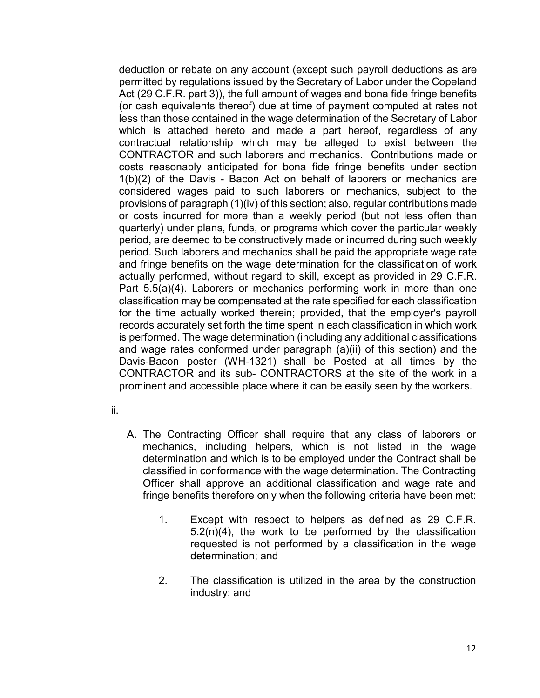deduction or rebate on any account (except such payroll deductions as are permitted by regulations issued by the Secretary of Labor under the Copeland Act (29 C.F.R. part 3)), the full amount of wages and bona fide fringe benefits (or cash equivalents thereof) due at time of payment computed at rates not less than those contained in the wage determination of the Secretary of Labor which is attached hereto and made a part hereof, regardless of any contractual relationship which may be alleged to exist between the CONTRACTOR and such laborers and mechanics. Contributions made or costs reasonably anticipated for bona fide fringe benefits under section 1(b)(2) of the Davis - Bacon Act on behalf of laborers or mechanics are considered wages paid to such laborers or mechanics, subject to the provisions of paragraph (1)(iv) of this section; also, regular contributions made or costs incurred for more than a weekly period (but not less often than quarterly) under plans, funds, or programs which cover the particular weekly period, are deemed to be constructively made or incurred during such weekly period. Such laborers and mechanics shall be paid the appropriate wage rate and fringe benefits on the wage determination for the classification of work actually performed, without regard to skill, except as provided in 29 C.F.R. Part 5.5(a)(4). Laborers or mechanics performing work in more than one classification may be compensated at the rate specified for each classification for the time actually worked therein; provided, that the employer's payroll records accurately set forth the time spent in each classification in which work is performed. The wage determination (including any additional classifications and wage rates conformed under paragraph (a)(ii) of this section) and the Davis-Bacon poster (WH-1321) shall be Posted at all times by the CONTRACTOR and its sub- CONTRACTORS at the site of the work in a prominent and accessible place where it can be easily seen by the workers.

- ii.
- A. The Contracting Officer shall require that any class of laborers or mechanics, including helpers, which is not listed in the wage determination and which is to be employed under the Contract shall be classified in conformance with the wage determination. The Contracting Officer shall approve an additional classification and wage rate and fringe benefits therefore only when the following criteria have been met:
	- 1. Except with respect to helpers as defined as 29 C.F.R. 5.2(n)(4), the work to be performed by the classification requested is not performed by a classification in the wage determination; and
	- 2. The classification is utilized in the area by the construction industry; and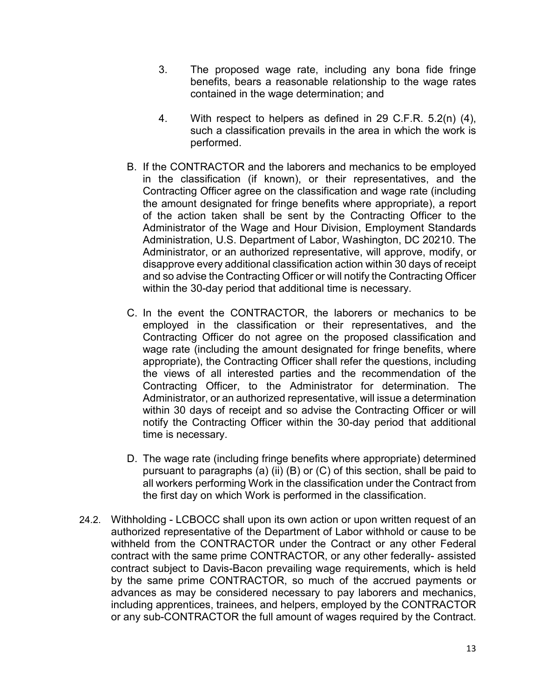- 3. The proposed wage rate, including any bona fide fringe benefits, bears a reasonable relationship to the wage rates contained in the wage determination; and
- 4. With respect to helpers as defined in 29 C.F.R. 5.2(n) (4), such a classification prevails in the area in which the work is performed.
- B. If the CONTRACTOR and the laborers and mechanics to be employed in the classification (if known), or their representatives, and the Contracting Officer agree on the classification and wage rate (including the amount designated for fringe benefits where appropriate), a report of the action taken shall be sent by the Contracting Officer to the Administrator of the Wage and Hour Division, Employment Standards Administration, U.S. Department of Labor, Washington, DC 20210. The Administrator, or an authorized representative, will approve, modify, or disapprove every additional classification action within 30 days of receipt and so advise the Contracting Officer or will notify the Contracting Officer within the 30-day period that additional time is necessary.
- C. In the event the CONTRACTOR, the laborers or mechanics to be employed in the classification or their representatives, and the Contracting Officer do not agree on the proposed classification and wage rate (including the amount designated for fringe benefits, where appropriate), the Contracting Officer shall refer the questions, including the views of all interested parties and the recommendation of the Contracting Officer, to the Administrator for determination. The Administrator, or an authorized representative, will issue a determination within 30 days of receipt and so advise the Contracting Officer or will notify the Contracting Officer within the 30-day period that additional time is necessary.
- D. The wage rate (including fringe benefits where appropriate) determined pursuant to paragraphs (a) (ii) (B) or  $(C)$  of this section, shall be paid to all workers performing Work in the classification under the Contract from the first day on which Work is performed in the classification.
- 24.2. Withholding LCBOCC shall upon its own action or upon written request of an authorized representative of the Department of Labor withhold or cause to be withheld from the CONTRACTOR under the Contract or any other Federal contract with the same prime CONTRACTOR, or any other federally- assisted contract subject to Davis-Bacon prevailing wage requirements, which is held by the same prime CONTRACTOR, so much of the accrued payments or advances as may be considered necessary to pay laborers and mechanics, including apprentices, trainees, and helpers, employed by the CONTRACTOR or any sub-CONTRACTOR the full amount of wages required by the Contract.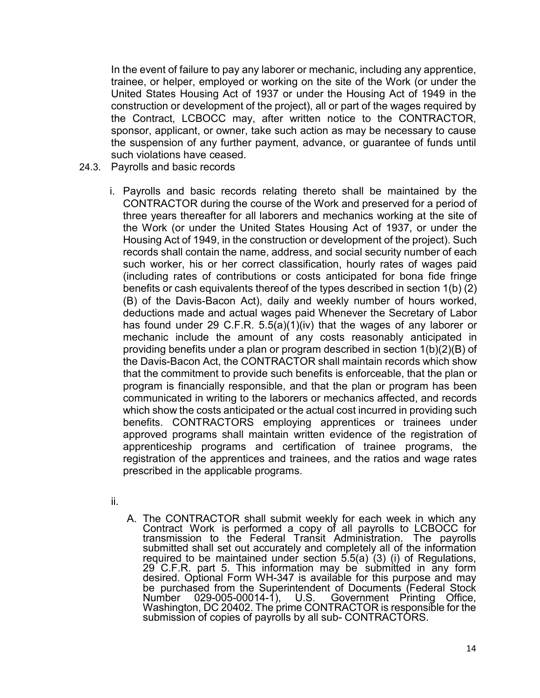In the event of failure to pay any laborer or mechanic, including any apprentice, trainee, or helper, employed or working on the site of the Work (or under the United States Housing Act of 1937 or under the Housing Act of 1949 in the construction or development of the project), all or part of the wages required by the Contract, LCBOCC may, after written notice to the CONTRACTOR, sponsor, applicant, or owner, take such action as may be necessary to cause the suspension of any further payment, advance, or guarantee of funds until such violations have ceased.

- 24.3. Payrolls and basic records
	- i. Payrolls and basic records relating thereto shall be maintained by the CONTRACTOR during the course of the Work and preserved for a period of three years thereafter for all laborers and mechanics working at the site of the Work (or under the United States Housing Act of 1937, or under the Housing Act of 1949, in the construction or development of the project). Such records shall contain the name, address, and social security number of each such worker, his or her correct classification, hourly rates of wages paid (including rates of contributions or costs anticipated for bona fide fringe benefits or cash equivalents thereof of the types described in section 1(b) (2) (B) of the Davis-Bacon Act), daily and weekly number of hours worked, deductions made and actual wages paid Whenever the Secretary of Labor has found under 29 C.F.R. 5.5(a)(1)(iv) that the wages of any laborer or mechanic include the amount of any costs reasonably anticipated in providing benefits under a plan or program described in section 1(b)(2)(B) of the Davis-Bacon Act, the CONTRACTOR shall maintain records which show that the commitment to provide such benefits is enforceable, that the plan or program is financially responsible, and that the plan or program has been communicated in writing to the laborers or mechanics affected, and records which show the costs anticipated or the actual cost incurred in providing such benefits. CONTRACTORS employing apprentices or trainees under approved programs shall maintain written evidence of the registration of apprenticeship programs and certification of trainee programs, the registration of the apprentices and trainees, and the ratios and wage rates prescribed in the applicable programs.
	- ii.
- A. The CONTRACTOR shall submit weekly for each week in which any Contract Work is performed <sup>a</sup> copy of all payrolls to LCBOCC for transmission to the Federal Transit Administration. The payrolls submitted shall set out accurately and completely all of the information required to be maintained under section 5.5(a) (3) (i) of Regulations, 29 C.F.R. part 5. This information may be submitted in any form desired. Optional Form WH-347 is available for this purpose and may be purchased from the Superintendent of Documents (Federal Stock Number 029-005-00014-1), U.S. Government Printina Office. Government Printing Office, Washington, DC 20402. The prime CONTRACTOR is responsible for the submission of copies of payrolls by all sub- CONTRACTORS.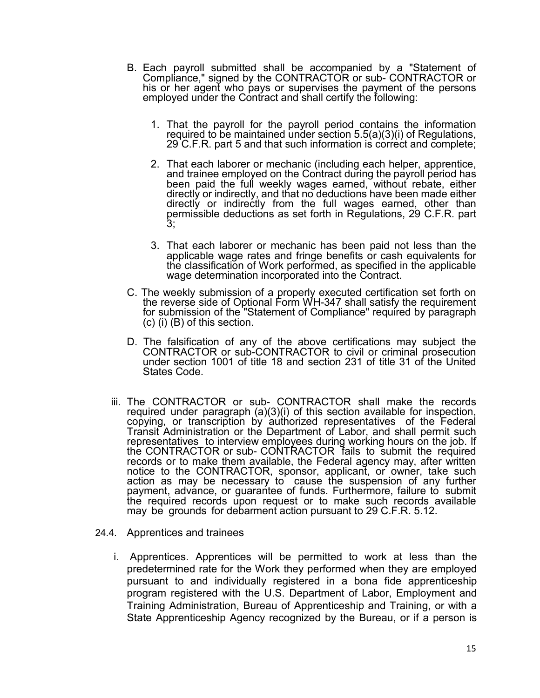- B. Each payroll submitted shall be accompanied by a "Statement of Compliance," signed by the CONTRACTOR or sub- CONTRACTOR or his or her agent who pays or supervises the payment of the persons employed under the Contract and shall certify the following:
	- 1. That the payroll for the payroll period contains the information required to be maintained under section 5.5(a)(3)(i) of Regulations, 29 C.F.R. part 5 and that such information is correct and complete;
	- 2. That each laborer or mechanic (including each helper, apprentice, and trainee employed on the Contract during the payroll period has been paid the full weekly wages earned, without rebate, either directly or indirectly, and that no deductions have been made either directly or indirectly from the full wages earned, other than permissible deductions as set forth in Regulations, 29 C.F.R. part 3;
	- 3. That each laborer or mechanic has been paid not less than the applicable wage rates and fringe benefits or cash equivalents for the classification of Work performed, as specified in the applicable wage determination incorporated into the Contract.
- C. The weekly submission of a properly executed certification set forth on the reverse side of Optional Form WH-347 shall satisfy the requirement for submission of the "Statement of Compliance" required by paragraph (c) (i) (B) of this section.
- D. The falsification of any of the above certifications may subject the CONTRACTOR or sub-CONTRACTOR to civil or criminal prosecution under section 1001 of title 18 and section 231 of title 31 of the United States Code.
- iii. The CONTRACTOR or sub- CONTRACTOR shall make the records required under paragraph (a)(3)(i) of this section available for inspection, copying, or transcription by authorized representatives of the Federal Transit Administration or the Department of Labor, and shall permit such representatives to interview employees during working hours on the job. If the CONTRACTOR or sub- CONTRACTOR fails to submit the required records or to make them available, the Federal agency may, after written notice to the CONTRACTOR, sponsor, applicant, or owner, take such action as may be necessary to cause the suspension of any further payment, advance, or guarantee of funds. Furthermore, failure to submit the required records upon request or to make such records available may be grounds for debarment action pursuant to 29 C.F.R. 5.12.
- 24.4. Apprentices and trainees
	- i. Apprentices. Apprentices will be permitted to work at less than the predetermined rate for the Work they performed when they are employed pursuant to and individually registered in a bona fide apprenticeship program registered with the U.S. Department of Labor, Employment and Training Administration, Bureau of Apprenticeship and Training, or with a State Apprenticeship Agency recognized by the Bureau, or if a person is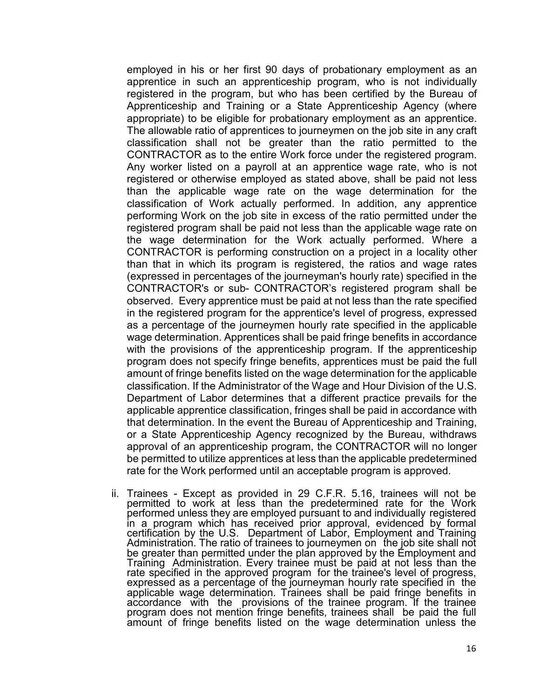employed in his or her first 90 days of probationary employment as an apprentice in such an apprenticeship program, who is not individually registered in the program, but who has been certified by the Bureau of Apprenticeship and Training or a State Apprenticeship Agency (where appropriate) to be eligible for probationary employment as an apprentice. The allowable ratio of apprentices to journeymen on the job site in any craft classification shall not be greater than the ratio permitted to the CONTRACTOR as to the entire Work force under the registered program. Any worker listed on a payroll at an apprentice wage rate, who is not registered or otherwise employed as stated above, shall be paid not less than the applicable wage rate on the wage determination for the classification of Work actually performed. In addition, any apprentice performing Work on the job site in excess of the ratio permitted under the registered program shall be paid not less than the applicable wage rate on the wage determination for the Work actually performed. Where a CONTRACTOR is performing construction on a project in a locality other than that in which its program is registered, the ratios and wage rates (expressed in percentages of the journeyman's hourly rate) specified in the CONTRACTOR's or sub- CONTRACTOR's registered program shall be observed. Every apprentice must be paid at not less than the rate specified in the registered program for the apprentice's level of progress, expressed as a percentage of the journeymen hourly rate specified in the applicable wage determination. Apprentices shall be paid fringe benefits in accordance with the provisions of the apprenticeship program. If the apprenticeship program does not specify fringe benefits, apprentices must be paid the full amount of fringe benefits listed on the wage determination for the applicable classification. If the Administrator of the Wage and Hour Division of the U.S. Department of Labor determines that a different practice prevails for the applicable apprentice classification, fringes shall be paid in accordance with that determination. In the event the Bureau of Apprenticeship and Training, or a State Apprenticeship Agency recognized by the Bureau, withdraws approval of an apprenticeship program, the CONTRACTOR will no longer be permitted to utilize apprentices at less than the applicable predetermined rate for the Work performed until an acceptable program is approved.

ii. Trainees - Except as provided in 29 C.F.R. 5.16, trainees will not be permitted to work at less than the predetermined rate for the Work performed unless they are employed pursuant to and individually registered in a program which has received prior approval, evidenced by formal certification by the U.S. Department of Labor, Employment and Training Administration. The ratio of trainees to journeymen on the job site shall not be greater than permitted under the plan approved by the Employment and Training Administration. Every trainee must be paid at not less than the rate specified in the approved program for the trainee's level of progress, expressed as a percentage of the journeyman hourly rate specified in the applicable wage determination. Trainees shall be paid fringe benefits in accordance with the provisions of the trainee program. If the trainee program does not mention fringe benefits, trainees shall be paid the full amount of fringe benefits listed on the wage determination unless the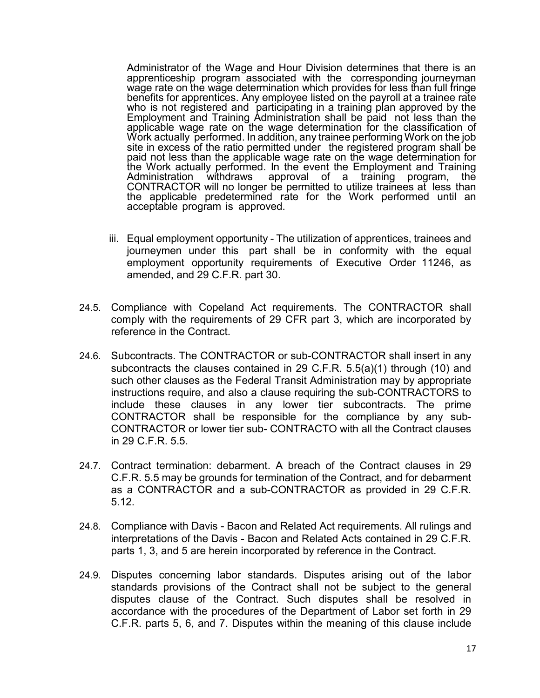Administrator of the Wage and Hour Division determines that there is an apprenticeship program associated with the corresponding journeyman wage rate on the wage determination which provides for less than full fringe benefits for apprentices. Any employee listed on the payroll at a trainee rate who is not registered and participating in a training plan approved by the Employment and Training Administration shall be paid not less than the applicable wage rate on the wage determination for the classification of Work actually performed. In addition, any trainee performing Work on the job site in excess of the ratio permitted under the registered program shall be paid not less than the applicable wage rate on the wage determination for the Work actually performed. In the event the Employment and Training Administration withdraws approval of a training program, the CONTRACTOR will no longer be permitted to utilize trainees at less than the applicable predetermined rate for the Work performed until an acceptable program is approved.

- iii. Equal employment opportunity The utilization of apprentices, trainees and journeymen under this part shall be in conformity with the equal employment opportunity requirements of Executive Order 11246, as amended, and 29 C.F.R. part 30.
- 24.5. Compliance with Copeland Act requirements. The CONTRACTOR shall comply with the requirements of 29 CFR part 3, which are incorporated by reference in the Contract.
- 24.6. Subcontracts. The CONTRACTOR or sub-CONTRACTOR shall insert in any subcontracts the clauses contained in 29 C.F.R. 5.5(a)(1) through (10) and such other clauses as the Federal Transit Administration may by appropriate instructions require, and also a clause requiring the sub-CONTRACTORS to include these clauses in any lower tier subcontracts. The prime CONTRACTOR shall be responsible for the compliance by any sub-CONTRACTOR or lower tier sub- CONTRACTO with all the Contract clauses in 29 C.F.R. 5.5.
- 24.7. Contract termination: debarment. A breach of the Contract clauses in 29 C.F.R. 5.5 may be grounds for termination of the Contract, and for debarment as a CONTRACTOR and a sub-CONTRACTOR as provided in 29 C.F.R. 5.12.
- 24.8. Compliance with Davis Bacon and Related Act requirements. All rulings and interpretations of the Davis - Bacon and Related Acts contained in 29 C.F.R. parts 1, 3, and 5 are herein incorporated by reference in the Contract.
- 24.9. Disputes concerning labor standards. Disputes arising out of the labor standards provisions of the Contract shall not be subject to the general disputes clause of the Contract. Such disputes shall be resolved in accordance with the procedures of the Department of Labor set forth in 29 C.F.R. parts 5, 6, and 7. Disputes within the meaning of this clause include